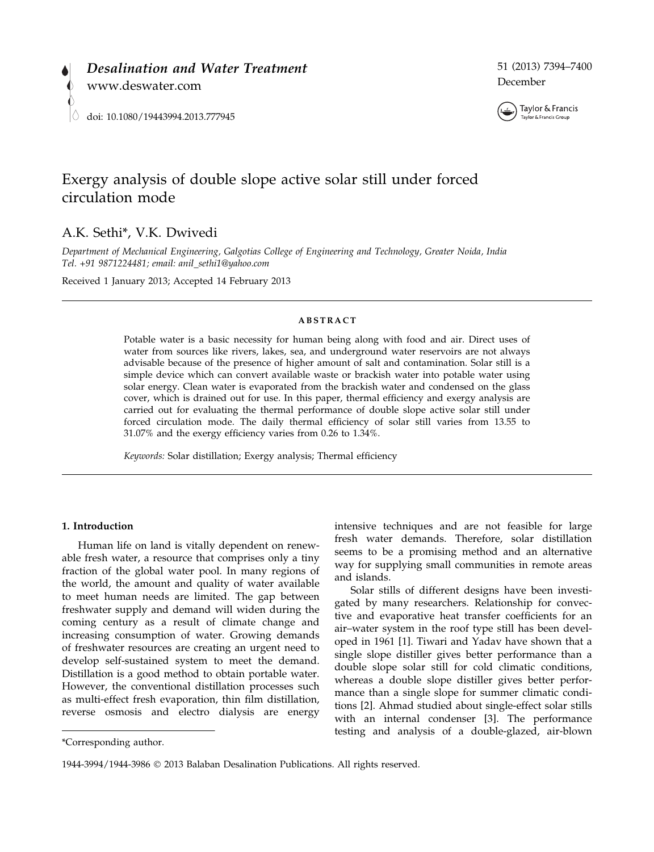

51 (2013) 7394–7400 December



# Exergy analysis of double slope active solar still under forced circulation mode

# A.K. Sethi\*, V.K. Dwivedi

Department of Mechanical Engineering, Galgotias College of Engineering and Technology, Greater Noida, India Tel. +91 9871224481; email: anil\_sethi1@yahoo.com

Received 1 January 2013; Accepted 14 February 2013

#### ABSTRACT

Potable water is a basic necessity for human being along with food and air. Direct uses of water from sources like rivers, lakes, sea, and underground water reservoirs are not always advisable because of the presence of higher amount of salt and contamination. Solar still is a simple device which can convert available waste or brackish water into potable water using solar energy. Clean water is evaporated from the brackish water and condensed on the glass cover, which is drained out for use. In this paper, thermal efficiency and exergy analysis are carried out for evaluating the thermal performance of double slope active solar still under forced circulation mode. The daily thermal efficiency of solar still varies from 13.55 to 31.07% and the exergy efficiency varies from 0.26 to 1.34%.

Keywords: Solar distillation; Exergy analysis; Thermal efficiency

### 1. Introduction

Human life on land is vitally dependent on renewable fresh water, a resource that comprises only a tiny fraction of the global water pool. In many regions of the world, the amount and quality of water available to meet human needs are limited. The gap between freshwater supply and demand will widen during the coming century as a result of climate change and increasing consumption of water. Growing demands of freshwater resources are creating an urgent need to develop self-sustained system to meet the demand. Distillation is a good method to obtain portable water. However, the conventional distillation processes such as multi-effect fresh evaporation, thin film distillation, reverse osmosis and electro dialysis are energy

intensive techniques and are not feasible for large fresh water demands. Therefore, solar distillation seems to be a promising method and an alternative way for supplying small communities in remote areas and islands.

Solar stills of different designs have been investigated by many researchers. Relationship for convective and evaporative heat transfer coefficients for an air–water system in the roof type still has been developed in 1961 [1]. Tiwari and Yadav have shown that a single slope distiller gives better performance than a double slope solar still for cold climatic conditions, whereas a double slope distiller gives better performance than a single slope for summer climatic conditions [2]. Ahmad studied about single-effect solar stills with an internal condenser [3]. The performance testing and analysis of a double-glazed, air-blown

<sup>\*</sup>Corresponding author.

<sup>1944-3994/1944-3986</sup> 2013 Balaban Desalination Publications. All rights reserved.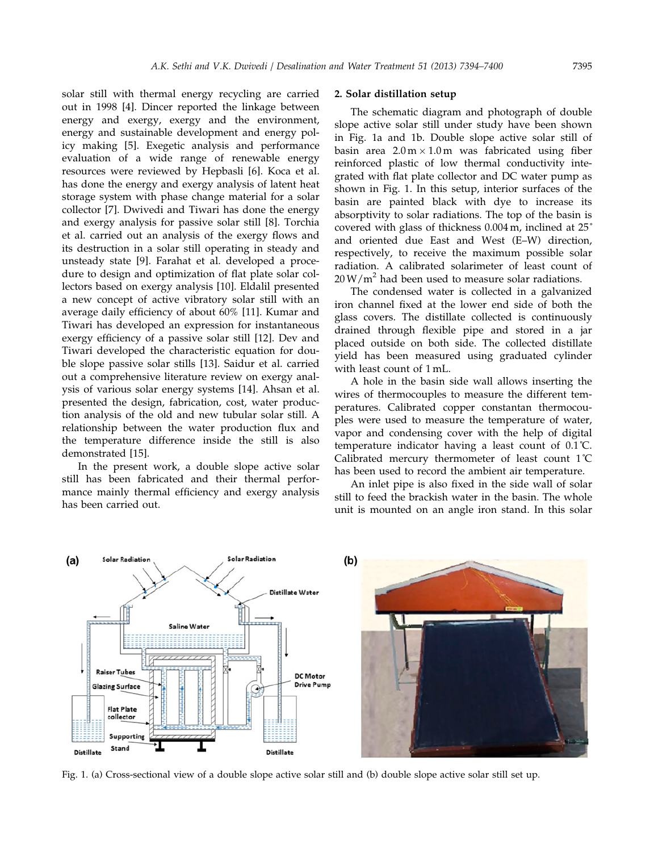solar still with thermal energy recycling are carried out in 1998 [4]. Dincer reported the linkage between energy and exergy, exergy and the environment, energy and sustainable development and energy policy making [5]. Exegetic analysis and performance evaluation of a wide range of renewable energy resources were reviewed by Hepbasli [6]. Koca et al. has done the energy and exergy analysis of latent heat storage system with phase change material for a solar collector [7]. Dwivedi and Tiwari has done the energy and exergy analysis for passive solar still [8]. Torchia et al. carried out an analysis of the exergy flows and its destruction in a solar still operating in steady and unsteady state [9]. Farahat et al. developed a procedure to design and optimization of flat plate solar collectors based on exergy analysis [10]. Eldalil presented a new concept of active vibratory solar still with an average daily efficiency of about 60% [11]. Kumar and Tiwari has developed an expression for instantaneous exergy efficiency of a passive solar still [12]. Dev and Tiwari developed the characteristic equation for double slope passive solar stills [13]. Saidur et al. carried out a comprehensive literature review on exergy analysis of various solar energy systems [14]. Ahsan et al. presented the design, fabrication, cost, water production analysis of the old and new tubular solar still. A relationship between the water production flux and the temperature difference inside the still is also demonstrated [15].

In the present work, a double slope active solar still has been fabricated and their thermal performance mainly thermal efficiency and exergy analysis has been carried out.

#### 2. Solar distillation setup

The schematic diagram and photograph of double slope active solar still under study have been shown in Fig. 1a and 1b. Double slope active solar still of basin area  $2.0 \text{ m} \times 1.0 \text{ m}$  was fabricated using fiber reinforced plastic of low thermal conductivity integrated with flat plate collector and DC water pump as shown in Fig. 1. In this setup, interior surfaces of the basin are painted black with dye to increase its absorptivity to solar radiations. The top of the basin is covered with glass of thickness 0.004 m, inclined at 25˚ and oriented due East and West (E–W) direction, respectively, to receive the maximum possible solar radiation. A calibrated solarimeter of least count of  $20 W/m<sup>2</sup>$  had been used to measure solar radiations.

The condensed water is collected in a galvanized iron channel fixed at the lower end side of both the glass covers. The distillate collected is continuously drained through flexible pipe and stored in a jar placed outside on both side. The collected distillate yield has been measured using graduated cylinder with least count of 1 mL.

A hole in the basin side wall allows inserting the wires of thermocouples to measure the different temperatures. Calibrated copper constantan thermocouples were used to measure the temperature of water, vapor and condensing cover with the help of digital temperature indicator having a least count of 0.1˚C. Calibrated mercury thermometer of least count 1˚C has been used to record the ambient air temperature.

An inlet pipe is also fixed in the side wall of solar still to feed the brackish water in the basin. The whole unit is mounted on an angle iron stand. In this solar



Fig. 1. (a) Cross-sectional view of a double slope active solar still and (b) double slope active solar still set up.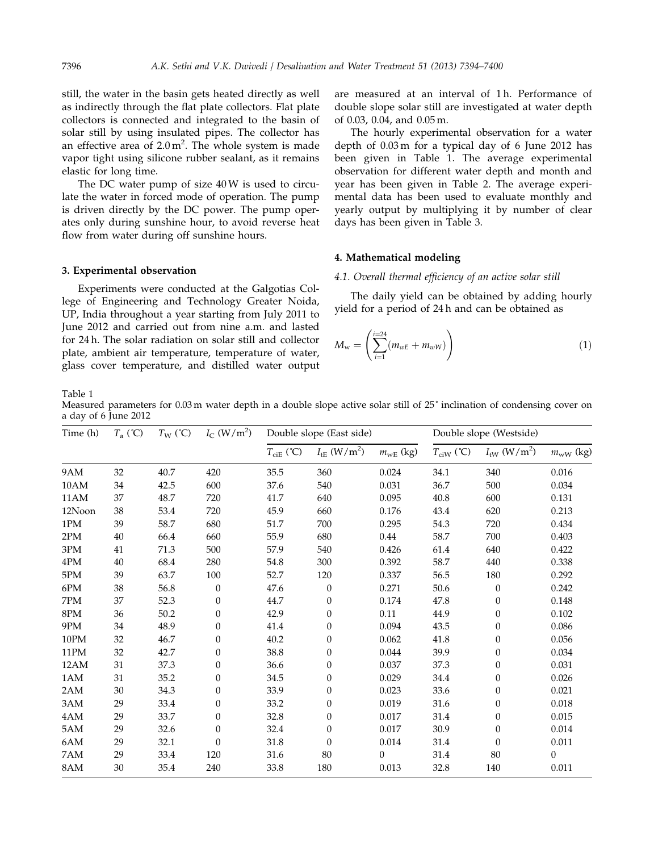still, the water in the basin gets heated directly as well as indirectly through the flat plate collectors. Flat plate collectors is connected and integrated to the basin of solar still by using insulated pipes. The collector has an effective area of  $2.0 \,\mathrm{m}^2$ . The whole system is made vapor tight using silicone rubber sealant, as it remains elastic for long time.

The DC water pump of size 40 W is used to circulate the water in forced mode of operation. The pump is driven directly by the DC power. The pump operates only during sunshine hour, to avoid reverse heat flow from water during off sunshine hours.

#### 3. Experimental observation

Experiments were conducted at the Galgotias College of Engineering and Technology Greater Noida, UP, India throughout a year starting from July 2011 to June 2012 and carried out from nine a.m. and lasted for 24 h. The solar radiation on solar still and collector plate, ambient air temperature, temperature of water, glass cover temperature, and distilled water output are measured at an interval of 1 h. Performance of double slope solar still are investigated at water depth of 0.03, 0.04, and 0.05 m.

The hourly experimental observation for a water depth of 0.03 m for a typical day of 6 June 2012 has been given in Table 1. The average experimental observation for different water depth and month and year has been given in Table 2. The average experimental data has been used to evaluate monthly and yearly output by multiplying it by number of clear days has been given in Table 3.

# 4. Mathematical modeling

# 4.1. Overall thermal efficiency of an active solar still

The daily yield can be obtained by adding hourly yield for a period of 24 h and can be obtained as

$$
M_{\rm w} = \left(\sum_{i=1}^{i=24} (m_{wE} + m_{wW})\right)
$$
 (1)

Table 1

Measured parameters for 0.03 m water depth in a double slope active solar still of 25˚ inclination of condensing cover on a day of 6 June 2012

| Time (h) | $T_{\rm a}$ (°C) | $T_W$ (°C) | $I_{\rm C}$ (W/m <sup>2</sup> ) |                       | Double slope (East side)            |                      | Double slope (Westside) |                                     |                   |  |
|----------|------------------|------------|---------------------------------|-----------------------|-------------------------------------|----------------------|-------------------------|-------------------------------------|-------------------|--|
|          |                  |            |                                 | $T_{\text{ciE}}$ (°C) | $I_{\text{tE}}$ (W/m <sup>2</sup> ) | $m_{\text{wE}}$ (kg) | $T_{\text{ciW}}$ (°C)   | $I_{\text{tW}}$ (W/m <sup>2</sup> ) | $m_{\rm wW}$ (kg) |  |
| 9AM      | 32               | 40.7       | 420                             | 35.5                  | 360                                 | 0.024                | 34.1                    | 340                                 | 0.016             |  |
| 10AM     | 34               | 42.5       | 600                             | 37.6                  | 540                                 | 0.031                | 36.7                    | 500                                 | 0.034             |  |
| 11AM     | 37               | 48.7       | 720                             | 41.7                  | 640                                 | 0.095                | 40.8                    | 600                                 | 0.131             |  |
| 12Noon   | 38               | 53.4       | 720                             | 45.9                  | 660                                 | 0.176                | 43.4                    | 620                                 | 0.213             |  |
| 1PM      | 39               | 58.7       | 680                             | 51.7                  | 700                                 | 0.295                | 54.3                    | 720                                 | 0.434             |  |
| 2PM      | 40               | 66.4       | 660                             | 55.9                  | 680                                 | 0.44                 | 58.7                    | 700                                 | 0.403             |  |
| 3PM      | 41               | 71.3       | 500                             | 57.9                  | 540                                 | 0.426                | 61.4                    | 640                                 | 0.422             |  |
| 4PM      | 40               | 68.4       | 280                             | 54.8                  | 300                                 | 0.392                | 58.7                    | 440                                 | 0.338             |  |
| 5PM      | 39               | 63.7       | 100                             | 52.7                  | 120                                 | 0.337                | 56.5                    | 180                                 | 0.292             |  |
| 6PM      | 38               | 56.8       | $\boldsymbol{0}$                | 47.6                  | $\mathbf{0}$                        | 0.271                | 50.6                    | $\boldsymbol{0}$                    | 0.242             |  |
| 7PM      | 37               | 52.3       | 0                               | 44.7                  | $\boldsymbol{0}$                    | 0.174                | 47.8                    | $\theta$                            | 0.148             |  |
| 8PM      | 36               | 50.2       | $\boldsymbol{0}$                | 42.9                  | $\boldsymbol{0}$                    | 0.11                 | 44.9                    | $\boldsymbol{0}$                    | 0.102             |  |
| 9PM      | 34               | 48.9       | $\boldsymbol{0}$                | 41.4                  | $\boldsymbol{0}$                    | 0.094                | 43.5                    | $\mathbf{0}$                        | 0.086             |  |
| 10PM     | 32               | 46.7       | $\boldsymbol{0}$                | 40.2                  | $\boldsymbol{0}$                    | 0.062                | 41.8                    | $\boldsymbol{0}$                    | 0.056             |  |
| 11PM     | 32               | 42.7       | $\boldsymbol{0}$                | 38.8                  | $\boldsymbol{0}$                    | 0.044                | 39.9                    | $\mathbf{0}$                        | 0.034             |  |
| 12AM     | 31               | 37.3       | $\boldsymbol{0}$                | 36.6                  | $\boldsymbol{0}$                    | 0.037                | 37.3                    | $\boldsymbol{0}$                    | 0.031             |  |
| 1AM      | 31               | 35.2       | 0                               | 34.5                  | $\boldsymbol{0}$                    | 0.029                | 34.4                    | 0                                   | 0.026             |  |
| 2AM      | 30               | 34.3       | $\boldsymbol{0}$                | 33.9                  | $\boldsymbol{0}$                    | 0.023                | 33.6                    | $\boldsymbol{0}$                    | 0.021             |  |
| 3AM      | 29               | 33.4       | $\boldsymbol{0}$                | 33.2                  | $\boldsymbol{0}$                    | 0.019                | 31.6                    | $\mathbf{0}$                        | 0.018             |  |
| 4AM      | 29               | 33.7       | $\boldsymbol{0}$                | 32.8                  | $\boldsymbol{0}$                    | 0.017                | 31.4                    | $\boldsymbol{0}$                    | 0.015             |  |
| 5AM      | 29               | 32.6       | $\boldsymbol{0}$                | 32.4                  | $\boldsymbol{0}$                    | 0.017                | 30.9                    | $\mathbf{0}$                        | 0.014             |  |
| 6AM      | 29               | 32.1       | $\boldsymbol{0}$                | 31.8                  | $\theta$                            | 0.014                | 31.4                    | $\mathbf{0}$                        | 0.011             |  |
| 7AM      | 29               | 33.4       | 120                             | 31.6                  | $80\,$                              | $\overline{0}$       | 31.4                    | 80                                  | $\overline{0}$    |  |
| 8AM      | 30               | 35.4       | 240                             | 33.8                  | 180                                 | 0.013                | 32.8                    | 140                                 | 0.011             |  |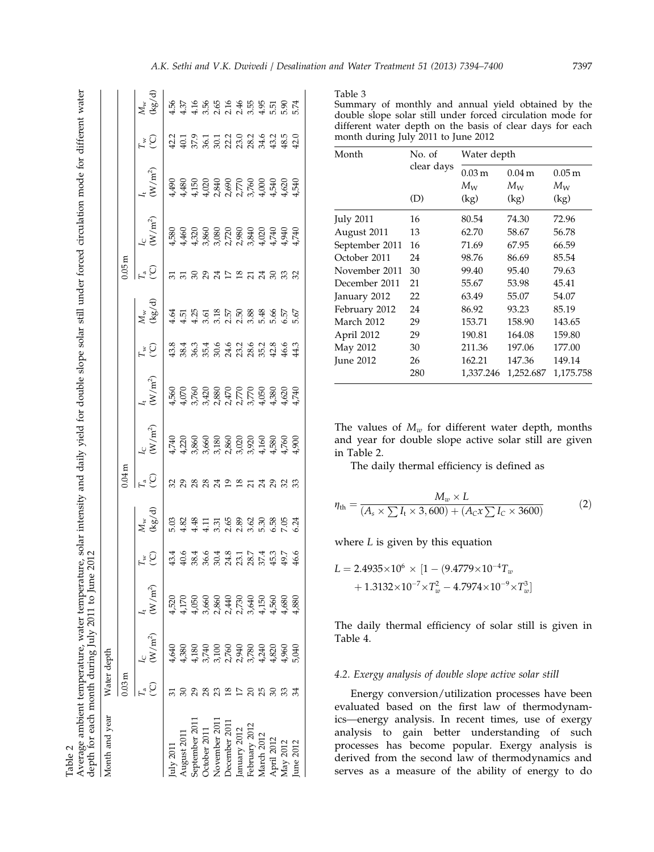| Month and year                                                                                                                                                                                       |                  | Water depth                                             |                                                                                 |                                                                   |                     |                                                                                                                                                                            |                                                                                     |                                                                                                                                                                                                                                                                                                                      |         |  |                      |              |
|------------------------------------------------------------------------------------------------------------------------------------------------------------------------------------------------------|------------------|---------------------------------------------------------|---------------------------------------------------------------------------------|-------------------------------------------------------------------|---------------------|----------------------------------------------------------------------------------------------------------------------------------------------------------------------------|-------------------------------------------------------------------------------------|----------------------------------------------------------------------------------------------------------------------------------------------------------------------------------------------------------------------------------------------------------------------------------------------------------------------|---------|--|----------------------|--------------|
|                                                                                                                                                                                                      | $0.03 \text{ m}$ |                                                         |                                                                                 |                                                                   | $0.04 \text{ m}$    |                                                                                                                                                                            |                                                                                     |                                                                                                                                                                                                                                                                                                                      | 0.05m   |  |                      |              |
|                                                                                                                                                                                                      |                  | $\frac{I_{\rm c}}{(W/m^2)}$ $\frac{I_{\rm t}}{(W/m^2)}$ |                                                                                 | M <sub>w</sub><br>Kg/d                                            |                     |                                                                                                                                                                            |                                                                                     |                                                                                                                                                                                                                                                                                                                      |         |  |                      |              |
|                                                                                                                                                                                                      |                  |                                                         |                                                                                 |                                                                   | 32                  |                                                                                                                                                                            |                                                                                     |                                                                                                                                                                                                                                                                                                                      |         |  |                      |              |
| July 2011<br>August 2011<br>August 2011<br>September 2011<br>October 2011<br>November 2011<br>December 2012<br>January 2012<br>February 2012<br>March 2012<br>March 2012<br>April 2012<br>April 2012 |                  |                                                         | 4 9 4 9 4 8 4 5 4 6 5 9<br>6 9 8 9 9 4 6 8 6 7 9 9 9<br>4 4 6 6 6 6 7 8 8 9 9 9 | 0<br>0 0 0 4 1 5 0 0 0 0 0 0 0 0 0<br>1 4 4 4 6 0 0 0 0 0 0 0 0 0 |                     | $4,740$<br>$4,720$<br>$6,860$<br>$7,860$<br>$8,80$<br>$8,80$<br>$8,80$<br>$8,80$<br>$8,80$<br>$8,80$<br>$8,80$<br>$8,80$<br>$8,80$<br>$8,80$<br>$8,80$<br>$8,80$<br>$8,80$ | 8 4 5 4 9 9 9 9 9 9 9 9 9<br>5 8 9 5 9 4 5 9 8 9 9 9 9 9<br>4 8 8 9 9 9 9 9 9 9 9 9 | $4\frac{1}{3}$ $\frac{1}{3}$ $\frac{1}{3}$ $\frac{1}{3}$ $\frac{2}{3}$ $\frac{2}{3}$ $\frac{1}{3}$ $\frac{1}{3}$ $\frac{2}{3}$ $\frac{2}{3}$ $\frac{2}{3}$ $\frac{2}{3}$ $\frac{2}{3}$ $\frac{2}{3}$ $\frac{2}{3}$ $\frac{2}{3}$ $\frac{2}{3}$ $\frac{2}{3}$ $\frac{2}{3}$ $\frac{2}{3}$ $\frac{2}{3}$ $\frac{2}{3}$ |         |  | $243585228333343444$ | 1.56<br>1.37 |
|                                                                                                                                                                                                      |                  |                                                         |                                                                                 |                                                                   |                     |                                                                                                                                                                            |                                                                                     |                                                                                                                                                                                                                                                                                                                      |         |  |                      |              |
|                                                                                                                                                                                                      | 28               |                                                         |                                                                                 |                                                                   |                     |                                                                                                                                                                            |                                                                                     |                                                                                                                                                                                                                                                                                                                      |         |  |                      |              |
|                                                                                                                                                                                                      |                  |                                                         |                                                                                 |                                                                   | 8 4 2 2 5 4 2 8 8 9 |                                                                                                                                                                            |                                                                                     |                                                                                                                                                                                                                                                                                                                      | 24      |  |                      |              |
|                                                                                                                                                                                                      | 2301             |                                                         |                                                                                 |                                                                   |                     |                                                                                                                                                                            |                                                                                     |                                                                                                                                                                                                                                                                                                                      |         |  |                      |              |
|                                                                                                                                                                                                      |                  |                                                         |                                                                                 |                                                                   |                     |                                                                                                                                                                            |                                                                                     |                                                                                                                                                                                                                                                                                                                      |         |  |                      |              |
|                                                                                                                                                                                                      |                  |                                                         |                                                                                 |                                                                   |                     |                                                                                                                                                                            |                                                                                     |                                                                                                                                                                                                                                                                                                                      |         |  |                      |              |
|                                                                                                                                                                                                      | 583              |                                                         |                                                                                 |                                                                   |                     |                                                                                                                                                                            |                                                                                     |                                                                                                                                                                                                                                                                                                                      | 2777882 |  |                      |              |
|                                                                                                                                                                                                      |                  |                                                         |                                                                                 |                                                                   |                     |                                                                                                                                                                            |                                                                                     |                                                                                                                                                                                                                                                                                                                      |         |  |                      |              |
|                                                                                                                                                                                                      |                  |                                                         |                                                                                 |                                                                   |                     |                                                                                                                                                                            |                                                                                     |                                                                                                                                                                                                                                                                                                                      |         |  |                      |              |
|                                                                                                                                                                                                      | 34               |                                                         |                                                                                 |                                                                   |                     |                                                                                                                                                                            |                                                                                     |                                                                                                                                                                                                                                                                                                                      |         |  |                      |              |

| able |  |
|------|--|
|------|--|

Summary of monthly and annual yield obtained by the double slope solar still under forced circulation mode for different water depth on the basis of clear days for each month during July 2011 to June 2012

| Month            | No. of     | Water depth                     |                                 |                                  |  |  |  |
|------------------|------------|---------------------------------|---------------------------------|----------------------------------|--|--|--|
|                  | clear days | $0.03 \text{ m}$<br>$M_{\rm W}$ | $0.04 \text{ m}$<br>$M_{\rm W}$ | 0.05 <sub>m</sub><br>$M_{\rm W}$ |  |  |  |
|                  | (D)        | (kg)                            | (kg)                            | (kg)                             |  |  |  |
| <b>July 2011</b> | 16         | 80.54                           | 74.30                           | 72.96                            |  |  |  |
| August 2011      | 13         | 62.70                           | 58.67                           | 56.78                            |  |  |  |
| September 2011   | 16         | 71.69                           | 67.95                           | 66.59                            |  |  |  |
| October 2011     | 24         | 98.76                           | 86.69                           | 85.54                            |  |  |  |
| November 2011    | 30         | 99.40                           | 95.40                           | 79.63                            |  |  |  |
| December 2011    | 21         | 55.67                           | 53.98                           | 45.41                            |  |  |  |
| January 2012     | 22         | 63.49                           | 55.07                           | 54.07                            |  |  |  |
| February 2012    | 24         | 86.92                           | 93.23                           | 85.19                            |  |  |  |
| March 2012       | 29         | 153.71                          | 158.90                          | 143.65                           |  |  |  |
| April 2012       | 29         | 190.81                          | 164.08                          | 159.80                           |  |  |  |
| May 2012         | 30         | 211.36                          | 197.06                          | 177.00                           |  |  |  |
| <b>Iune 2012</b> | 26         | 162.21                          | 147.36                          | 149.14                           |  |  |  |
|                  | 280        | 1,337.246                       | 1,252.687                       | 1,175.758                        |  |  |  |

The values of  $M_w$  for different water depth, months and year for double slope active solar still are given in Table 2.

The daily thermal efficiency is defined as

$$
\eta_{\text{th}} = \frac{M_w \times L}{(A_s \times \sum I_t \times 3,600) + (A_c x \sum I_c \times 3600)}
$$
(2)

where  $L$  is given by this equation

 $L = 2.4935 \times 10^6 \times [1 - (9.4779 \times 10^{-4} T_w$  $+1.3132\times10^{-7}\times T_w^2 - 4.7974\times10^{-9}\times T_w^3$ 

The daily thermal efficiency of solar still is given in Table 4.

# 4.2. Exergy analysis of double slope active solar still

Energy conversion/utilization processes have been evaluated based on the first law of thermodynamics—energy analysis. In recent times, use of exergy analysis to gain better understanding of such processes has become popular. Exergy analysis is derived from the second law of thermodynamics and serves as a measure of the ability of energy to do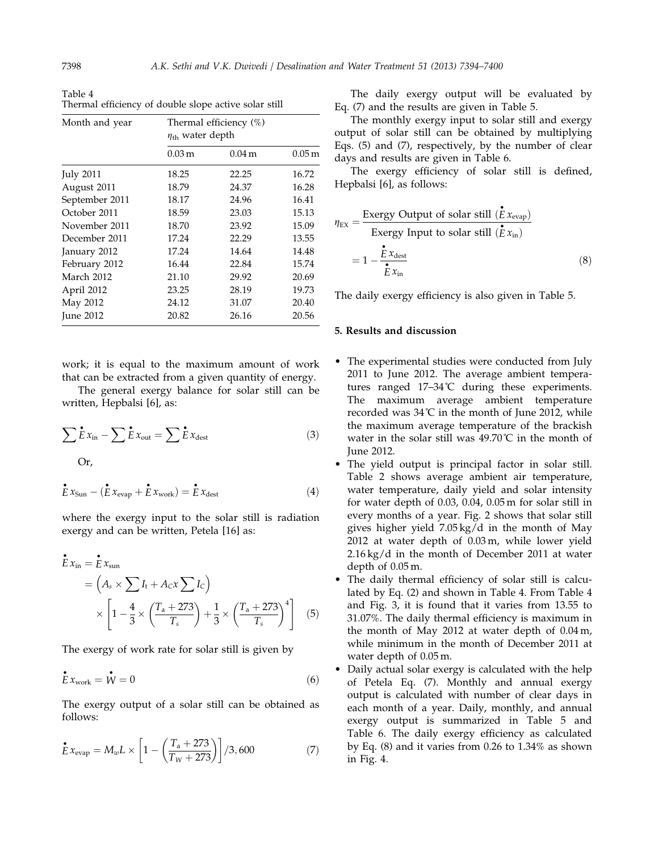| Table 4 |                                                       |  |  |  |
|---------|-------------------------------------------------------|--|--|--|
|         | Thermal efficiency of double slope active solar still |  |  |  |

| Month and year   |                                | Thermal efficiency (%) |                   |  |  |  |  |  |
|------------------|--------------------------------|------------------------|-------------------|--|--|--|--|--|
|                  | $\eta_{\text{th}}$ water depth |                        |                   |  |  |  |  |  |
|                  | 0.03 <sub>m</sub>              | 0.04 <sub>m</sub>      | 0.05 <sub>m</sub> |  |  |  |  |  |
| <b>July 2011</b> | 18.25                          | 22.25                  | 16.72             |  |  |  |  |  |
| August 2011      | 18.79                          | 24.37                  | 16.28             |  |  |  |  |  |
| September 2011   | 18.17                          | 24.96                  | 16.41             |  |  |  |  |  |
| October 2011     | 18.59                          | 23.03                  | 15.13             |  |  |  |  |  |
| November 2011    | 18.70                          | 23.92                  | 15.09             |  |  |  |  |  |
| December 2011    | 17.24                          | 22.29                  | 13.55             |  |  |  |  |  |
| January 2012     | 17.24                          | 14.64                  | 14.48             |  |  |  |  |  |
| February 2012    | 16.44                          | 22.84                  | 15.74             |  |  |  |  |  |
| March 2012       | 21.10                          | 29.92                  | 20.69             |  |  |  |  |  |
| April 2012       | 23.25                          | 28.19                  | 19.73             |  |  |  |  |  |
| May 2012         | 24.12                          | 31.07                  | 20.40             |  |  |  |  |  |
| <b>Iune 2012</b> | 20.82                          | 26.16                  | 20.56             |  |  |  |  |  |

work; it is equal to the maximum amount of work that can be extracted from a given quantity of energy.

The general exergy balance for solar still can be written, Hepbalsi [6], as:

$$
\sum \stackrel{\bullet}{E} x_{\rm in} - \sum \stackrel{\bullet}{E} x_{\rm out} = \sum \stackrel{\bullet}{E} x_{\rm dest} \tag{3}
$$

Or,

$$
\mathbf{\dot{E}}\,x_{\text{Sun}} - (\mathbf{\dot{E}}\,x_{\text{evap}} + \mathbf{\dot{E}}\,x_{\text{work}}) = \mathbf{\dot{E}}\,x_{\text{dest}}\tag{4}
$$

where the exergy input to the solar still is radiation exergy and can be written, Petela [16] as:

$$
\begin{aligned} \mathbf{\dot{E}} \, x_{\rm in} &= \mathbf{\dot{E}} \, x_{\rm sun} \\ &= \left( A_{\rm s} \times \sum I_{\rm t} + A_{\rm C} x \sum I_{\rm C} \right) \\ &\times \left[ 1 - \frac{4}{3} \times \left( \frac{T_{\rm a} + 273}{T_{\rm s}} \right) + \frac{1}{3} \times \left( \frac{T_{\rm a} + 273}{T_{\rm s}} \right)^4 \right] \end{aligned} \tag{5}
$$

The exergy of work rate for solar still is given by

$$
\mathbf{\dot{\bar{E}}}x_{\text{work}} = \mathbf{\dot{W}} = 0\tag{6}
$$

The exergy output of a solar still can be obtained as follows:

$$
\dot{\vec{E}} x_{\text{evap}} = M_w L \times \left[ 1 - \left( \frac{T_a + 273}{T_W + 273} \right) \right] / 3,600 \tag{7}
$$

The daily exergy output will be evaluated by Eq. (7) and the results are given in Table 5.

The monthly exergy input to solar still and exergy output of solar still can be obtained by multiplying Eqs. (5) and (7), respectively, by the number of clear days and results are given in Table 6.

The exergy efficiency of solar still is defined, Hepbalsi [6], as follows:

$$
\eta_{\rm EX} = \frac{\text{Exergy Output of solar still } (\stackrel{\cdot}{E} x_{\rm evap})}{\text{Exergy Input to solar still } (\stackrel{\cdot}{E} x_{\rm in})}
$$
\n
$$
= 1 - \frac{\stackrel{\cdot}{E} x_{\rm dest}}{\stackrel{\cdot}{E} x_{\rm in}} \tag{8}
$$

The daily exergy efficiency is also given in Table 5.

# 5. Results and discussion

- The experimental studies were conducted from July 2011 to June 2012. The average ambient temperatures ranged 17-34°C during these experiments. The maximum average ambient temperature recorded was 34˚C in the month of June 2012, while the maximum average temperature of the brackish water in the solar still was 49.70˚C in the month of June 2012.
- The yield output is principal factor in solar still. Table 2 shows average ambient air temperature, water temperature, daily yield and solar intensity for water depth of 0.03, 0.04, 0.05 m for solar still in every months of a year. Fig. 2 shows that solar still gives higher yield 7.05 kg/d in the month of May 2012 at water depth of 0.03 m, while lower yield 2.16 kg/d in the month of December 2011 at water depth of 0.05 m.
- The daily thermal efficiency of solar still is calculated by Eq. (2) and shown in Table 4. From Table 4 and Fig. 3, it is found that it varies from 13.55 to 31.07%. The daily thermal efficiency is maximum in the month of May 2012 at water depth of 0.04 m, while minimum in the month of December 2011 at water depth of 0.05 m.
- Daily actual solar exergy is calculated with the help of Petela Eq. (7). Monthly and annual exergy output is calculated with number of clear days in each month of a year. Daily, monthly, and annual exergy output is summarized in Table 5 and Table 6. The daily exergy efficiency as calculated by Eq. (8) and it varies from 0.26 to 1.34% as shown in Fig. 4.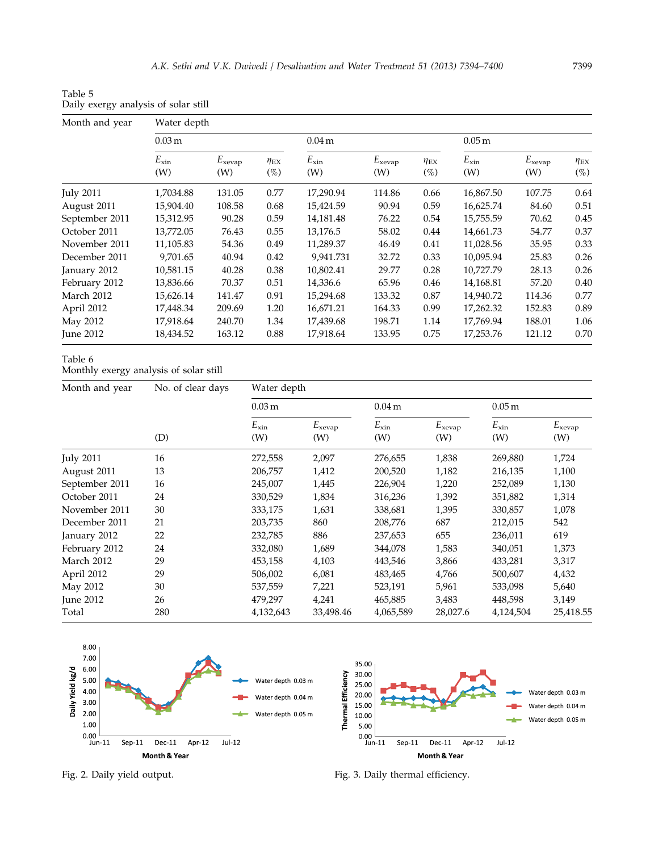| Table 5 |                                      |  |  |
|---------|--------------------------------------|--|--|
|         | Daily exergy analysis of solar still |  |  |

| Month and year   | Water depth          |                           |                           |                      |                           |                           |                      |                           |                           |  |  |
|------------------|----------------------|---------------------------|---------------------------|----------------------|---------------------------|---------------------------|----------------------|---------------------------|---------------------------|--|--|
|                  | 0.03 <sub>m</sub>    |                           |                           | 0.04 <sub>m</sub>    |                           |                           | 0.05 <sub>m</sub>    |                           |                           |  |  |
|                  | $E_{\rm kin}$<br>(W) | $E_{\text{xevap}}$<br>(W) | $\eta_{\rm EX}$<br>$(\%)$ | $E_{\rm kin}$<br>(W) | $E_{\text{xevap}}$<br>(W) | $\eta_{\rm EX}$<br>$(\%)$ | $E_{\rm kin}$<br>(W) | $E_{\text{xevap}}$<br>(W) | $\eta_{\rm EX}$<br>$(\%)$ |  |  |
| <b>July 2011</b> | 1,7034.88            | 131.05                    | 0.77                      | 17,290.94            | 114.86                    | 0.66                      | 16,867.50            | 107.75                    | 0.64                      |  |  |
| August 2011      | 15,904.40            | 108.58                    | 0.68                      | 15,424.59            | 90.94                     | 0.59                      | 16,625.74            | 84.60                     | 0.51                      |  |  |
| September 2011   | 15,312.95            | 90.28                     | 0.59                      | 14,181.48            | 76.22                     | 0.54                      | 15,755.59            | 70.62                     | 0.45                      |  |  |
| October 2011     | 13,772.05            | 76.43                     | 0.55                      | 13,176.5             | 58.02                     | 0.44                      | 14,661.73            | 54.77                     | 0.37                      |  |  |
| November 2011    | 11,105.83            | 54.36                     | 0.49                      | 11,289.37            | 46.49                     | 0.41                      | 11,028.56            | 35.95                     | 0.33                      |  |  |
| December 2011    | 9,701.65             | 40.94                     | 0.42                      | 9,941.731            | 32.72                     | 0.33                      | 10,095.94            | 25.83                     | 0.26                      |  |  |
| January 2012     | 10,581.15            | 40.28                     | 0.38                      | 10,802.41            | 29.77                     | 0.28                      | 10,727.79            | 28.13                     | 0.26                      |  |  |
| February 2012    | 13,836.66            | 70.37                     | 0.51                      | 14,336.6             | 65.96                     | 0.46                      | 14,168.81            | 57.20                     | 0.40                      |  |  |
| March 2012       | 15,626.14            | 141.47                    | 0.91                      | 15,294.68            | 133.32                    | 0.87                      | 14,940.72            | 114.36                    | 0.77                      |  |  |
| April 2012       | 17,448.34            | 209.69                    | 1.20                      | 16,671.21            | 164.33                    | 0.99                      | 17,262.32            | 152.83                    | 0.89                      |  |  |
| May 2012         | 17,918.64            | 240.70                    | 1.34                      | 17,439.68            | 198.71                    | 1.14                      | 17,769.94            | 188.01                    | 1.06                      |  |  |
| <b>Iune 2012</b> | 18,434.52            | 163.12                    | 0.88                      | 17,918.64            | 133.95                    | 0.75                      | 17,253.76            | 121.12                    | 0.70                      |  |  |

# Table 6

Monthly exergy analysis of solar still

| Month and year   | No. of clear days | Water depth          |                           |                      |                           |                      |                           |  |  |
|------------------|-------------------|----------------------|---------------------------|----------------------|---------------------------|----------------------|---------------------------|--|--|
|                  |                   | 0.03 <sub>m</sub>    |                           | 0.04 <sub>m</sub>    |                           | 0.05 <sub>m</sub>    |                           |  |  |
|                  | (D)               | $E_{\rm kin}$<br>(W) | $E_{\text{xevap}}$<br>(W) | $E_{\rm kin}$<br>(W) | $E_{\text{xevap}}$<br>(W) | $E_{\rm kin}$<br>(W) | $E_{\text{xevap}}$<br>(W) |  |  |
| <b>July 2011</b> | 16                | 272,558              | 2,097                     | 276,655              | 1,838                     | 269,880              | 1,724                     |  |  |
| August 2011      | 13                | 206,757              | 1,412                     | 200,520              | 1,182                     | 216,135              | 1,100                     |  |  |
| September 2011   | 16                | 245,007              | 1,445                     | 226,904              | 1,220                     | 252,089              | 1,130                     |  |  |
| October 2011     | 24                | 330,529              | 1,834                     | 316,236              | 1,392                     | 351,882              | 1,314                     |  |  |
| November 2011    | 30                | 333,175              | 1,631                     | 338,681              | 1,395                     | 330,857              | 1,078                     |  |  |
| December 2011    | 21                | 203,735              | 860                       | 208,776              | 687                       | 212,015              | 542                       |  |  |
| January 2012     | 22                | 232,785              | 886                       | 237,653              | 655                       | 236,011              | 619                       |  |  |
| February 2012    | 24                | 332,080              | 1,689                     | 344,078              | 1,583                     | 340,051              | 1,373                     |  |  |
| March 2012       | 29                | 453,158              | 4,103                     | 443,546              | 3,866                     | 433,281              | 3,317                     |  |  |
| April 2012       | 29                | 506,002              | 6,081                     | 483,465              | 4,766                     | 500,607              | 4,432                     |  |  |
| May 2012         | 30                | 537,559              | 7,221                     | 523,191              | 5,961                     | 533,098              | 5,640                     |  |  |
| June 2012        | 26                | 479,297              | 4,241                     | 465,885              | 3,483                     | 448,598              | 3,149                     |  |  |
| Total            | 280               | 4,132,643            | 33,498.46                 | 4,065,589            | 28,027.6                  | 4,124,504            | 25,418.55                 |  |  |





Fig. 2. Daily yield output. The state of Fig. 3. Daily thermal efficiency.